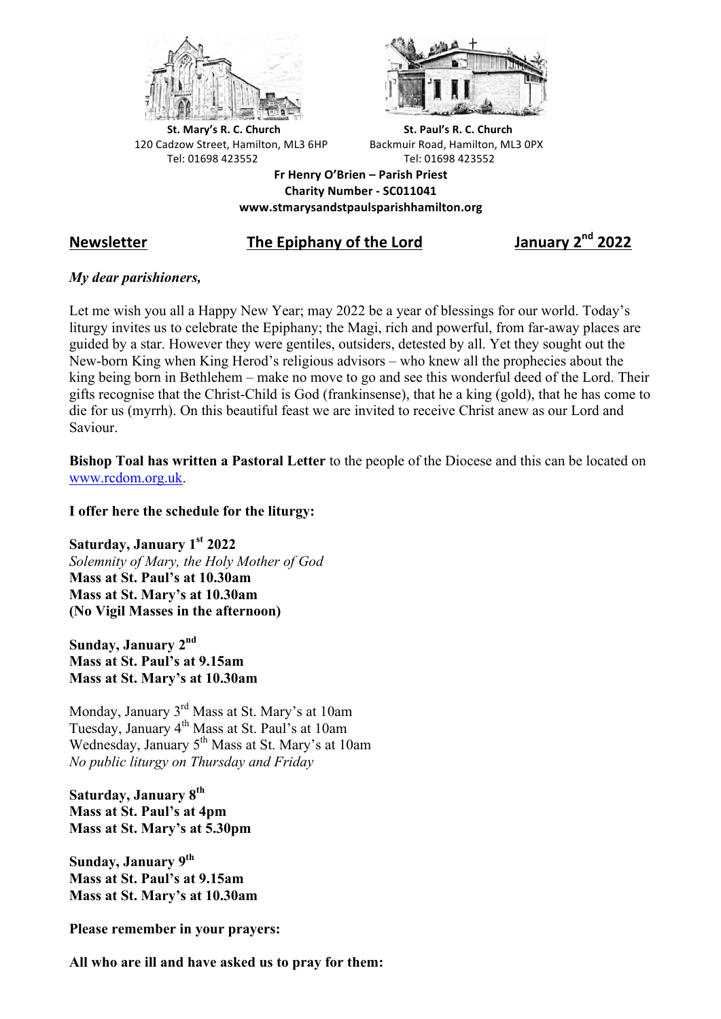



**St.** Mary's R. C. Church St. Paul's R. C. Church 120 Cadzow Street, Hamilton, ML3 6HP Backmuir Road, Hamilton, ML3 0PX Tel: 01698 423552 Tel: 01698 423552

**Fr Henry O'Brien – Parish Priest Charity Number - SC011041 www.stmarysandstpaulsparishhamilton.org**

## **Newsletter The Epiphany of the Lord January 2nd 2022**

## *My dear parishioners,*

Let me wish you all a Happy New Year; may 2022 be a year of blessings for our world. Today's liturgy invites us to celebrate the Epiphany; the Magi, rich and powerful, from far-away places are guided by a star. However they were gentiles, outsiders, detested by all. Yet they sought out the New-born King when King Herod's religious advisors – who knew all the prophecies about the king being born in Bethlehem – make no move to go and see this wonderful deed of the Lord. Their gifts recognise that the Christ-Child is God (frankinsense), that he a king (gold), that he has come to die for us (myrrh). On this beautiful feast we are invited to receive Christ anew as our Lord and Saviour.

**Bishop Toal has written a Pastoral Letter** to the people of the Diocese and this can be located on www.rcdom.org.uk.

**I offer here the schedule for the liturgy:**

**Saturday, January 1st 2022** *Solemnity of Mary, the Holy Mother of God* **Mass at St. Paul's at 10.30am Mass at St. Mary's at 10.30am (No Vigil Masses in the afternoon)**

**Sunday, January 2nd Mass at St. Paul's at 9.15am Mass at St. Mary's at 10.30am**

Monday, January 3rd Mass at St. Mary's at 10am Tuesday, January 4th Mass at St. Paul's at 10am Wednesday, January 5<sup>th</sup> Mass at St. Mary's at 10am *No public liturgy on Thursday and Friday*

**Saturday, January 8th Mass at St. Paul's at 4pm Mass at St. Mary's at 5.30pm**

**Sunday, January 9th Mass at St. Paul's at 9.15am Mass at St. Mary's at 10.30am**

**Please remember in your prayers:**

**All who are ill and have asked us to pray for them:**